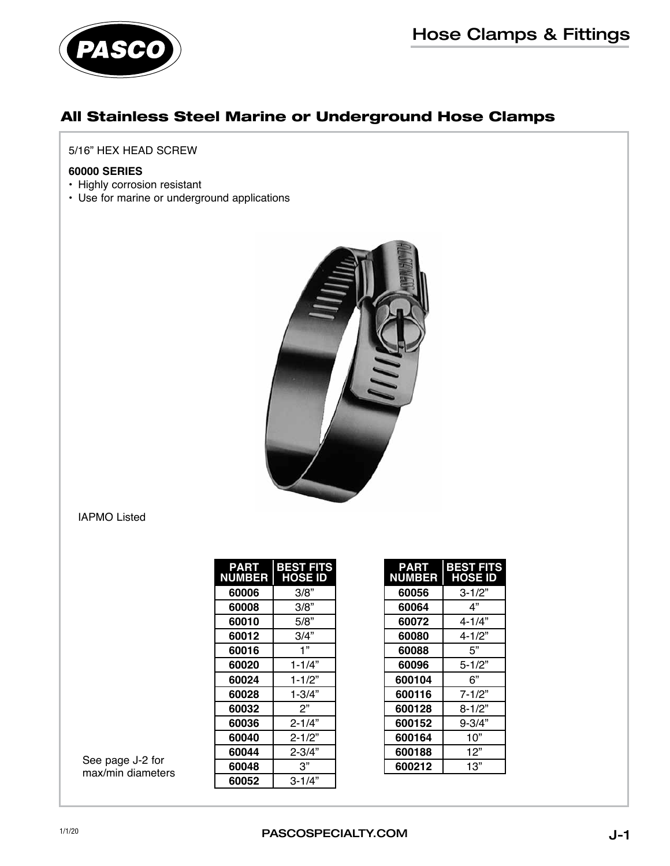

## All Stainless Steel Marine or Underground Hose Clamps

#### 5/16" HEX HEAD SCREW

#### **60000 SERIES**

- Highly corrosion resistant
- Use for marine or underground applications



#### IAPMO Listed

| <b>PART</b><br><b>NUMBER</b> | BEST FITS<br><b>HOSE ID</b> |
|------------------------------|-----------------------------|
| 60006                        | 3/8"                        |
| 60008                        | 3/8"                        |
| 60010                        | 5/8"                        |
| 60012                        | 3/4"                        |
| 60016                        | 1"                          |
| 60020                        | $1 - 1/4"$                  |
| 60024                        | $1 - 1/2"$                  |
| 60028                        | $1 - 3/4"$                  |
| 60032                        | 2"                          |
| 60036                        | $2 - 1/4"$                  |
| 60040                        | $2 - 1/2"$                  |
| 60044                        | $2 - 3/4"$                  |
| 60048                        | 3"                          |
| 60052                        | $3 - 1/4"$                  |

| <b>PART</b><br><b>NUMBER</b> | <b>BEST FITS</b><br><b>HOSE ID</b> |
|------------------------------|------------------------------------|
| 60056                        | 3-1/2"                             |
| 60064                        | 4"                                 |
| 60072                        | 4-1/4"                             |
| 60080                        | $4 - 1/2"$                         |
| 60088                        | 5"                                 |
| 60096                        | $5 - 1/2"$                         |
| 600104                       | 6"                                 |
| 600116                       | $7 - 1/2"$                         |
| 600128                       | $8 - 1/2"$                         |
| 600152                       | 9-3/4"                             |
| 600164                       | 10"                                |
| 600188                       | 12"                                |
| 600212                       | 13"                                |

See page J-2 for max/min diameters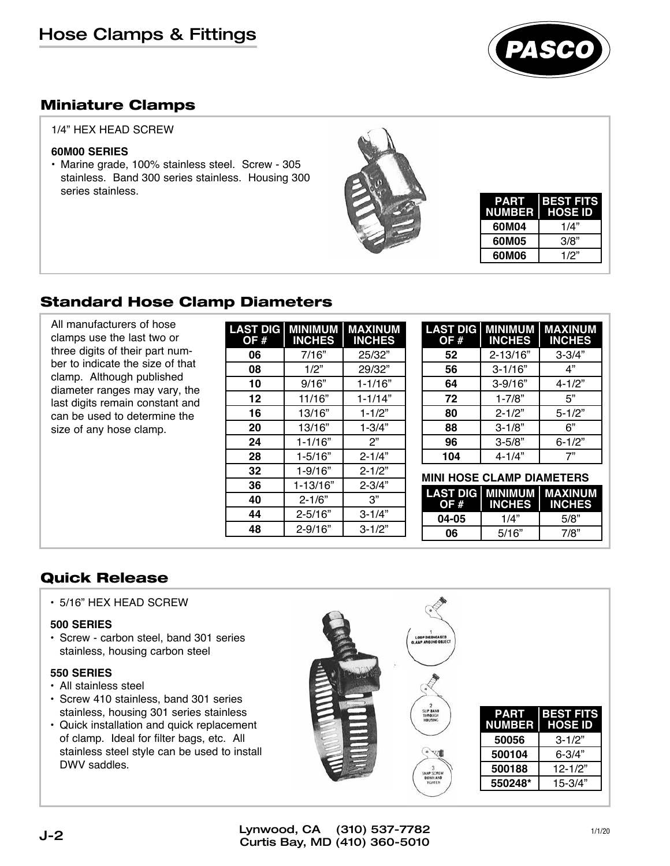

### Miniature Clamps

#### 1/4" HEX HEAD SCREW

#### **60M00 SERIES**

• Marine grade, 100% stainless steel. Screw - 305 stainless. Band 300 series stainless. Housing 300 series stainless.



| <b>PART</b><br><b>NUMBER</b> | <b>BEST FITS</b><br>  HOSE ID |
|------------------------------|-------------------------------|
| 60M04                        | 1/4"                          |
| 60M05                        | 3/8"                          |
| 60M06                        | 1/2"                          |

## Standard Hose Clamp Diameters

All manufacturers of hose clamps use the last two or three digits of their part number to indicate the size of that clamp. Although published diameter ranges may vary, the last digits remain constant and can be used to determine the size of any hose clamp.

| LAST DIG<br>OF # | MINIMUM<br><b>INCHES</b> | <b>MAXINUM</b><br><b>INCHES</b> |
|------------------|--------------------------|---------------------------------|
| 06               | 7/16"                    | 25/32"                          |
| 08               | 1/2"                     | 29/32"                          |
| 10               | 9/16"                    | $1 - 1/16"$                     |
| 12               | 11/16"                   | $1 - 1/14"$                     |
| 16               | 13/16"                   | $1 - 1/2"$                      |
| 20               | 13/16"                   | $1 - 3/4"$                      |
| 24               | $1 - 1/16"$              | 2"                              |
| 28               | $1 - 5/16"$              | $2 - 1/4"$                      |
| 32               | $1 - 9/16"$              | $2 - 1/2"$                      |
| 36               | $1 - 13/16"$             | $2 - 3/4"$                      |
| 40               | $2 - 1/6"$               | 3"                              |
| 44               | $2 - 5/16"$              | $3 - 1/4"$                      |
| 48               | $2 - 9/16"$              | $3 - 1/2"$                      |

| <b>LAST DIG</b><br>OF # | <b>MINIMUM</b><br><b>INCHES</b> | MAXINUM<br><b>INCHES</b> |
|-------------------------|---------------------------------|--------------------------|
| 52                      | $2 - 13/16"$                    | $3 - 3/4"$               |
| 56                      | $3 - 1/16"$                     | 4"                       |
| 64                      | $3 - 9/16$ "                    | $4 - 1/2"$               |
| 72                      | $1 - 7/8"$                      | 5"                       |
| 80                      | $2 - 1/2"$                      | $5 - 1/2"$               |
| 88                      | $3 - 1/8"$                      | 6"                       |
| 96                      | $3 - 5/8"$                      | $6 - 1/2"$               |
| 104                     | $4 - 1/4"$                      | 7"                       |

#### **MINI HOSE CLAMP DIAMETERS**

| OF #  | LAST DIG   MINIMUM   MAXINUM<br><b>INCHES</b> | <b>INCHES</b> |
|-------|-----------------------------------------------|---------------|
| 04-05 | 1/4"                                          | 5/8"          |
| 06    | 5/16"                                         | 7/8"          |

### Quick Release

• 5/16" HEX HEAD SCREW

#### **500 SERIES**

• Screw - carbon steel, band 301 series stainless, housing carbon steel

#### **550 SERIES**

- All stainless steel
- Screw 410 stainless, band 301 series stainless, housing 301 series stainless
- Quick installation and quick replacement of clamp. Ideal for filter bags, etc. All stainless steel style can be used to install DWV saddles.

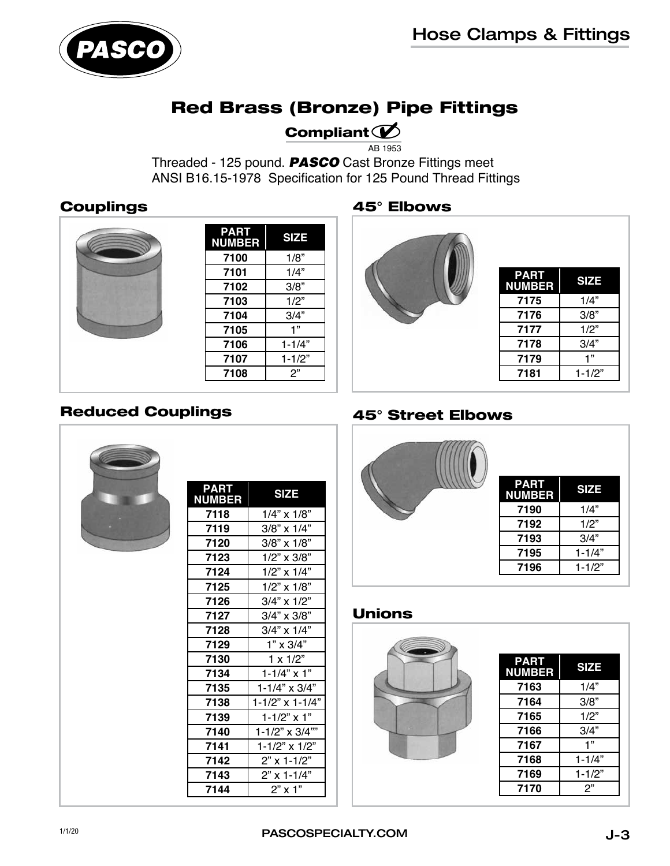

## Red Brass (Bronze) Pipe Fittings

## Compliant  $\mathcal{D}$

AB 1953

Threaded - 125 pound. *PASCO* Cast Bronze Fittings meet ANSI B16.15-1978 Specification for 125 Pound Thread Fittings

## **Couplings**

| <b>PART</b><br><b>NUMBER</b> | <b>SIZE</b> |
|------------------------------|-------------|
| 7100                         | 1/8"        |
| 7101                         | 1/4"        |
| 7102                         | 3/8"        |
| 7103                         | 1/2"        |
| 7104                         | 3/4"        |
| 7105                         | 1"          |
| 7106                         | $1 - 1/4"$  |
| 7107                         | $1 - 1/2"$  |
| 7108                         | 2"          |
|                              |             |

#### 45° Elbows



| <b>PART</b><br><b>NUMBER</b> | <b>SIZE</b> |
|------------------------------|-------------|
| 7175                         | 1/4"        |
| 7176                         | 3/8"        |
| 7177                         | 1/2"        |
| 7178                         | 3/4"        |
| 7179                         | ,,          |
| 7181                         | $1 - 1/2"$  |

## Reduced Couplings



| PART<br><b>NUMBER</b> | <b>SIZE</b>             |
|-----------------------|-------------------------|
| 7118                  | $1/4$ " x $1/8$ "       |
|                       |                         |
| 7119                  | 3/8" x 1/4"             |
| 7120                  | 3/8" x 1/8"             |
| 7123                  | $1/2$ " x $3/8$ "       |
| 7124                  | $1/2$ " x $1/4$ "       |
| 7125                  | $1/2$ " x $1/8$ "       |
| 7126                  | 3/4" x 1/2"             |
| 7127                  | 3/4" x 3/8"             |
| 7128                  | $3/4"$ x $1/4"$         |
| 7129                  | $1" \times 3/4"$        |
| 7130                  | $1 \times 1/2$ "        |
| 7134                  | $1 - 1/4" \times 1"$    |
| 7135                  | $1 - 1/4" \times 3/4"$  |
| 7138                  | $1 - 1/2"$ x $1 - 1/4"$ |
| 7139                  | $1 - 1/2" \times 1"$    |
| 7140                  | 1-1/2" x 3/4""          |
| 7141                  | 1-1/2" x 1/2"           |
| 7142                  | 2" x 1-1/2"             |
| 7143                  | 2" x 1-1/4"             |
| 7144                  | $2"$ x 1"               |
|                       |                         |

## 45° Street Elbows

| <b>PART</b><br><b>NUMBER</b> | <b>SIZE</b> |
|------------------------------|-------------|
| 7190                         | 1/4"        |
| 7192                         | 1/2"        |
| 7193                         | 3/4"        |
| 7195                         | $1 - 1/4"$  |
| 7196                         | $1 - 1/2"$  |

## Unions



| <b>PART</b><br><b>NUMBER</b> | <b>SIZE</b> |
|------------------------------|-------------|
| 7163                         | 1/4"        |
| 7164                         | 3/8"        |
| 7165                         | 1/2"        |
| 7166                         | 3/4"        |
| 7167                         | 1"          |
| 7168                         | $1 - 1/4"$  |
| 7169                         | $1 - 1/2"$  |
| 7170                         | 2"          |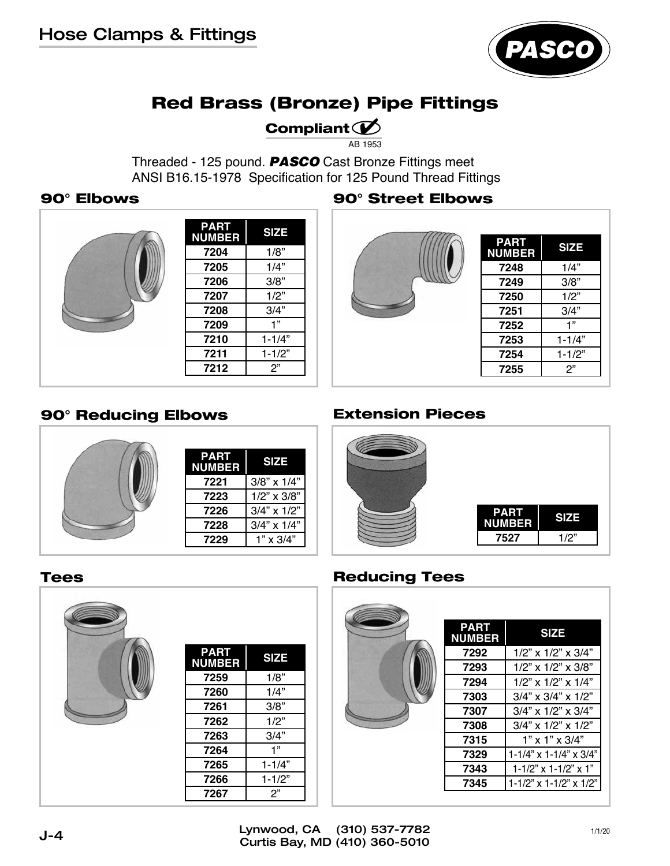

# Red Brass (Bronze) Pipe Fittings

## Compliant  $\mathcal D$

AB 1953

Threaded - 125 pound. *PASCO* Cast Bronze Fittings meet ANSI B16.15-1978 Specification for 125 Pound Thread Fittings

| <b>PART</b><br><b>NUMBER</b> | <b>SIZE</b> |
|------------------------------|-------------|
| 7204                         | 1/8"        |
| 7205                         | 1/4"        |
| 7206                         | 3/8"        |
| 7207                         | 1/2"        |
| 7208                         | 3/4"        |
| 7209                         | 1"          |
| 7210                         | $1 - 1/4"$  |
| 7211                         | $1 - 1/2"$  |
| 7212                         | 2"          |

### 90° Elbows 90° Street Elbows



| <b>PART</b><br><b>SIZE</b><br><b>NUMBER</b><br>1/4"<br>7248<br>3/8"<br>7249<br>1/2"<br>7250<br>7251<br>3/4"<br>1"<br>7252<br>$1 - 1/4"$<br>7253<br>7254<br>$1 - 1/2"$ |      |    |
|-----------------------------------------------------------------------------------------------------------------------------------------------------------------------|------|----|
|                                                                                                                                                                       |      |    |
|                                                                                                                                                                       |      |    |
|                                                                                                                                                                       |      |    |
|                                                                                                                                                                       |      |    |
|                                                                                                                                                                       |      |    |
|                                                                                                                                                                       |      |    |
|                                                                                                                                                                       |      |    |
|                                                                                                                                                                       |      |    |
|                                                                                                                                                                       | 7255 | 2" |

## 90° Reducing Elbows Extension Pieces





#### Tees



| <b>PART</b><br><b>NUMBER</b> | <b>SIZE</b> |
|------------------------------|-------------|
| 7259                         | 1/8"        |
| 7260                         | 1/4"        |
| 7261                         | 3/8"        |
| 7262                         | 1/2"        |
| 7263                         | 3/4"        |
| 7264                         | 1"          |
| 7265                         | $1 - 1/4"$  |
| 7266                         | $1 - 1/2"$  |
| 7267                         | 2"          |

## Reducing Tees

| <b>PART</b><br><b>NUMBER</b> | <b>SIZE</b>                         |
|------------------------------|-------------------------------------|
| 7292                         | $1/2$ " x $1/2$ " x $3/4$ "         |
| 7293                         | $1/2$ " x $1/2$ " x $3/8$ "         |
| 7294                         | $1/2$ " x $1/2$ " x $1/4$ "         |
| 7303                         | $3/4$ " x $3/4$ " x $1/2$ "         |
| 7307                         | $3/4$ " x $1/2$ " x $3/4$ "         |
| 7308                         | $3/4$ " x $1/2$ " x $1/2$ "         |
| 7315                         | $1"$ x $1"$ x $3/4"$                |
| 7329                         | $1 - 1/4$ " x $1 - 1/4$ " x $3/4$ " |
| 7343                         | $1 - 1/2$ " x $1 - 1/2$ " x $1$ "   |
| 7345                         | 1-1/2" x 1-1/2" x 1/2"              |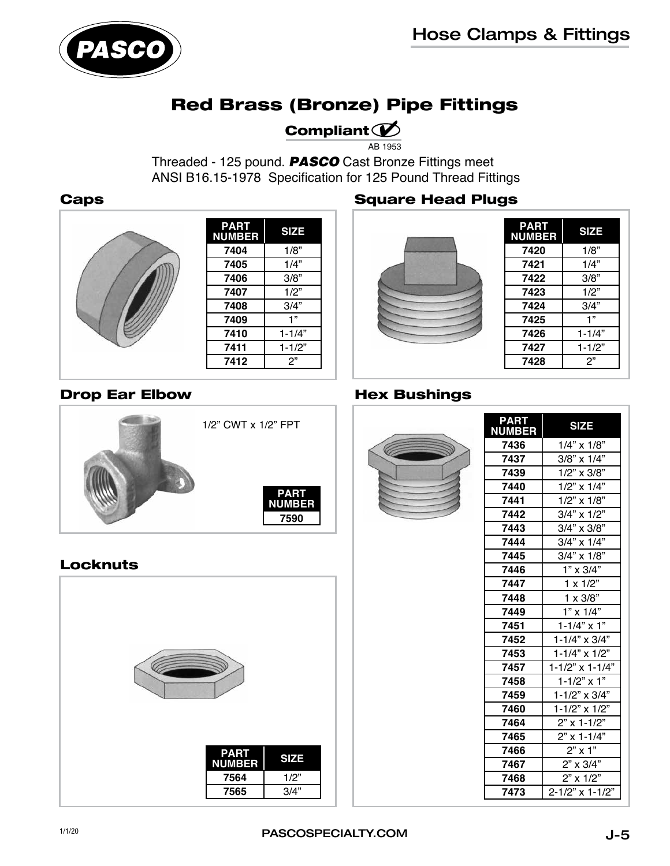

## Red Brass (Bronze) Pipe Fittings

## Compliant  $\mathcal D$

AB 1953

Threaded - 125 pound. *PASCO* Cast Bronze Fittings meet ANSI B16.15-1978 Specification for 125 Pound Thread Fittings



Drop Ear Elbow

| <b>PART</b><br><b>NUMBER</b> | <b>SIZE</b> |
|------------------------------|-------------|
| 7404                         | 1/8"        |
| 7405                         | 1/4"        |
| 7406                         | 3/8"        |
| 7407                         | 1/2"        |
| 7408                         | 3/4"        |
| 7409                         | 1"          |
| 7410                         | $1 - 1/4"$  |
| 7411                         | $1 - 1/2"$  |
| 7412                         | 2"          |
|                              |             |

1/2" CWT x 1/2" FPT

**PART NUMBER** 

#### Caps **Square Head Plugs**



| <b>PART</b><br><b>NUMBER</b> | <b>SIZE</b> |
|------------------------------|-------------|
| 7420                         | 1/8"        |
| 7421                         | 1/4"        |
| 7422                         | 3/8"        |
| 7423                         | 1/2"        |
| 7424                         | 3/4"        |
| 7425                         | 1"          |
| 7426                         | $1 - 1/4"$  |
| 7427                         | $1 - 1/2"$  |
| 7428                         | 2"          |

### Hex Bushings



| <b>PART</b><br><b>NUMBER</b> | <b>SIZE</b>               |
|------------------------------|---------------------------|
| 7436                         | $1/4$ " x $1/8$ "         |
| 7437                         | 3/8" x 1/4"               |
| 7439                         | 1/2" x 3/8"               |
| 7440                         | $1/2$ " x $1/4$ "         |
| 7441                         | $1/2$ " x $1/8$ "         |
| 7442                         | $3/4$ " x $1/2$ "         |
| 7443                         | 3/4" x 3/8"               |
| 7444                         | $3/4$ " x $1/4$ "         |
| 7445                         | $3/4$ " x $1/8$ "         |
| 7446                         | $1" \times 3/4"$          |
| 7447                         | $1 \times 1/2$ "          |
| 7448                         | $1 \times 3/8"$           |
| 7449                         | $1" \times 1/4"$          |
| 7451                         | $1 - 1/4" \times 1"$      |
| 7452                         | $1 - 1/4$ " x 3/4"        |
| 7453                         | $1 - 1/4" \times 1/2"$    |
| 7457                         | $1 - 1/2$ " x $1 - 1/4$ " |
| 7458                         | $1 - 1/2$ " x 1"          |
| 7459                         | 1-1/2" x 3/4"             |
| 7460                         | 1-1/2" x 1/2"             |
| 7464                         | $2"$ x 1-1/2"             |
| 7465                         | $2"$ x 1-1/4"             |
| 7466                         | $2"$ x 1"                 |
| 7467                         | 2" x 3/4"                 |
| 7468                         | $2"$ x 1/2"               |
| 7473                         | 2-1/2" x 1-1/2"           |

### Locknuts

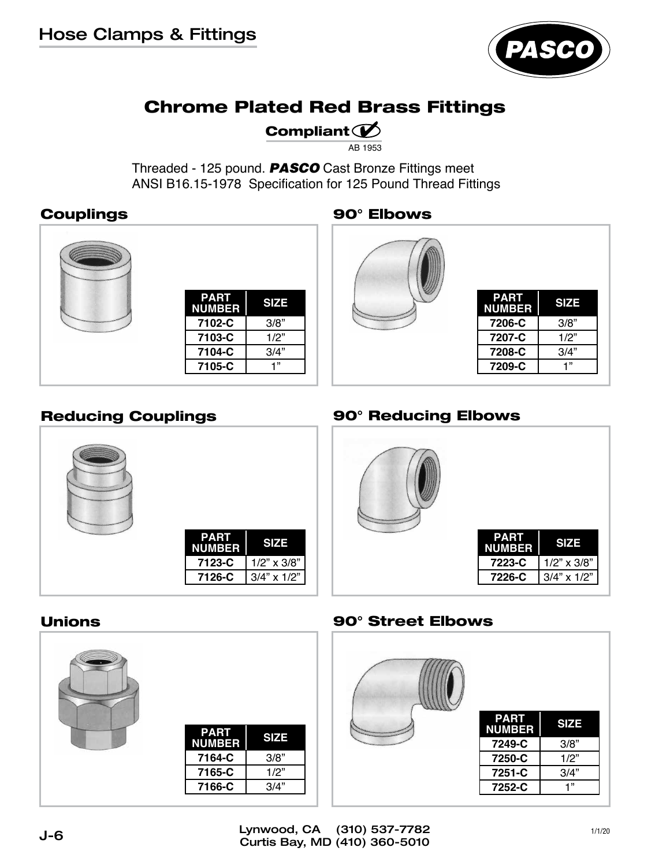

# Chrome Plated Red Brass Fittings

## Compliant  $\mathcal{D}$

AB 1953

Threaded - 125 pound. *PASCO* Cast Bronze Fittings meet ANSI B16.15-1978 Specification for 125 Pound Thread Fittings

## Couplings 90° Elbows





| <b>PART</b><br><b>NUMBER</b> | <b>SIZE</b> |
|------------------------------|-------------|
| 7206-C                       | 3/8"        |
| 7207-C                       | 1/2"        |
| 7208-C                       | 3/4"        |
| 7209-C                       | ,,          |



## Reducing Couplings **80° Reducing Elbows**



### Unions



#### 90° Street Elbows

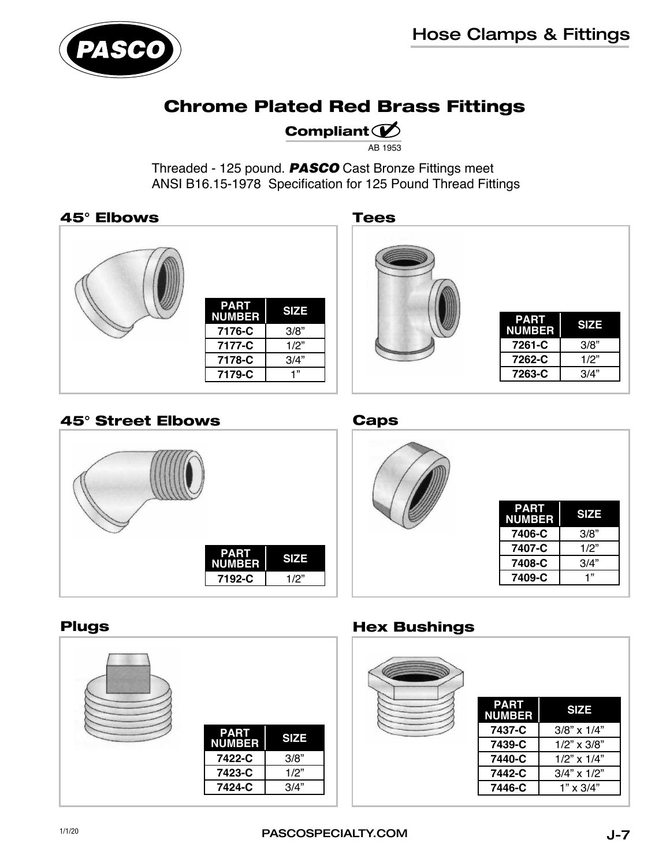

## Chrome Plated Red Brass Fittings

## Compliant  $\mathcal{D}$

AB 1953

Threaded - 125 pound. *PASCO* Cast Bronze Fittings meet ANSI B16.15-1978 Specification for 125 Pound Thread Fittings

#### 45° Elbows Tees





### 45° Street Elbows Caps





#### Plugs



## Hex Bushings

| <b>PART</b><br><b>NUMBER</b> | <b>SIZE</b>       |
|------------------------------|-------------------|
| 7437-C                       | 3/8" x 1/4"       |
| 7439-C                       | $1/2$ " x $3/8$ " |
| 7440-C                       | $1/2$ " x $1/4$ " |
| 7442-C                       | $3/4$ " x $1/2$ " |
| 7446-C                       | $1" \times 3/4"$  |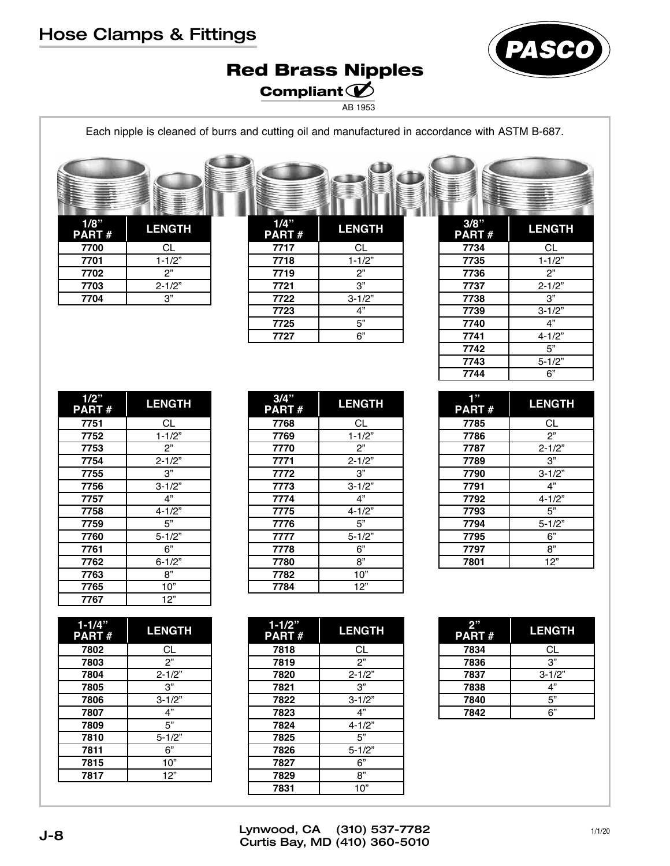# Hose Clamps & Fittings



## Red Brass Nipples Compliant  $\mathcal D$

AB 1953

 $\bigoplus$ 

Each nipple is cleaned of burrs and cutting oil and manufactured in accordance with ASTM B-687.

| $1/8$ "<br>PART# | <b>LENGTH</b> |
|------------------|---------------|
| 7700             | CL            |
| 7701             | $1 - 1/2"$    |
| 7702             | 2"            |
| 7703             | $2 - 1/2"$    |
| 7704             | 3"            |

| 1/4"<br>PART# | <b>LENGTH</b>  |
|---------------|----------------|
| 7717          | CL             |
| 7718          | $1 - 1/2"$     |
| 7719          | 2"             |
| 7721          | $\overline{3}$ |
| 7722          | $3 - 1/2"$     |
| 7723          | 4"             |
| 7725          | 5"             |
| 7727          | 6"             |
|               |                |

| 3/8"<br>PART# | <b>LENGTH</b> |
|---------------|---------------|
| 7734          | СL            |
| 7735          | $1 - 1/2"$    |
| 7736          | 2"            |
| 7737          | $2 - 1/2"$    |
| 7738          | 3"            |
| 7739          | $3 - 1/2"$    |
| 7740          | 4"            |
| 7741          | $4 - 1/2"$    |
| 7742          | 5"            |
| 7743          | $5 - 1/2"$    |
| 7744          | 6"            |

 $\subset$ 

| 1/2"<br><b>PART#</b> | <b>LENGTH</b> |
|----------------------|---------------|
| 7751                 | СL            |
| 7752                 | $1 - 1/2"$    |
| 7753                 | 2"            |
| 7754                 | $2 - 1/2"$    |
| 7755                 | 3"            |
| 7756                 | $3 - 1/2"$    |
| 7757                 | 4"            |
| 7758                 | $4 - 1/2"$    |
| 7759                 | 5"            |
| 7760                 | $5 - 1/2"$    |
| 7761                 | 6"            |
| 7762                 | $6 - 1/2"$    |
| 7763                 | 8"            |
| 7765                 | 10"           |
| 7767                 | 12"           |

| $1 - 1/4"$<br><b>PART#</b> | <b>LENGTH</b> |  |
|----------------------------|---------------|--|
| 7802                       | СL            |  |
| 7803                       | 2"            |  |
| 7804                       | $2 - 1/2"$    |  |
| 7805                       | 3"            |  |
| 7806                       | $3 - 1/2"$    |  |
| 7807                       | 4"            |  |
| 7809                       | 5"            |  |
| 7810                       | $5 - 1/2"$    |  |
| 7811                       | 6"            |  |
| 7815                       | 10"           |  |
| 7817                       | 12"           |  |
|                            |               |  |

| 3/4<br><b>PART#</b> | <b>LENGTH</b> |  |  |  |
|---------------------|---------------|--|--|--|
| 7768                | СL            |  |  |  |
| 7769                | $1 - 1/2"$    |  |  |  |
| 7770                | 2"            |  |  |  |
| 7771                | $2 - 1/2"$    |  |  |  |
| 7772                | 3"            |  |  |  |
| 7773                | $3 - 1/2"$    |  |  |  |
| 7774                | 4"            |  |  |  |
| 7775                | $4 - 1/2"$    |  |  |  |
| 7776                | 5"            |  |  |  |
| 7777                | $5 - 1/2"$    |  |  |  |
| 7778                | 6"            |  |  |  |
| 7780                | 8"            |  |  |  |
| 7782                | 10"           |  |  |  |
| 7784                | 12"           |  |  |  |

**3/4"** 

 $\mathbf{I}$ 

 $\sim$ 

| $1 - 1/2"$<br><b>PART#</b> | <b>LENGTH</b> |  |  |  |
|----------------------------|---------------|--|--|--|
| 7818                       | СL            |  |  |  |
| 7819                       | 2"            |  |  |  |
| 7820                       | $2 - 1/2"$    |  |  |  |
| 7821                       | 3"            |  |  |  |
| 7822                       | $3 - 1/2"$    |  |  |  |
| 7823                       | 4"            |  |  |  |
| 7824                       | $4 - 1/2"$    |  |  |  |
| 7825                       | 5"            |  |  |  |
| 7826                       | $5 - 1/2"$    |  |  |  |
| 7827                       | 6"            |  |  |  |
| 7829                       | 8"            |  |  |  |
| 7831                       | 10"           |  |  |  |

| 7787 | $2 - 1/2"$ |  |  |  |
|------|------------|--|--|--|
| 7789 | 3"         |  |  |  |
| 7790 | $3 - 1/2"$ |  |  |  |
| 7791 | 4"         |  |  |  |
| 7792 | $4 - 1/2"$ |  |  |  |
| 7793 | 5"         |  |  |  |
| 7794 | $5 - 1/2"$ |  |  |  |
| 7795 | 6"         |  |  |  |
| 7797 | 8"         |  |  |  |
| 7801 | 12"        |  |  |  |
|      |            |  |  |  |

**1" PART # LENGTH** CL **7786** 2"<br>**7787** 2-1/2

| 2"<br><b>PART#</b> | <b>LENGTH</b>  |  |
|--------------------|----------------|--|
| 7834               | СL             |  |
| 7836               | 3"             |  |
| 7837               | $3 - 1/2"$     |  |
| 7838               | 4"             |  |
| 7840               | 5"             |  |
| 7842               | 6 <sup>n</sup> |  |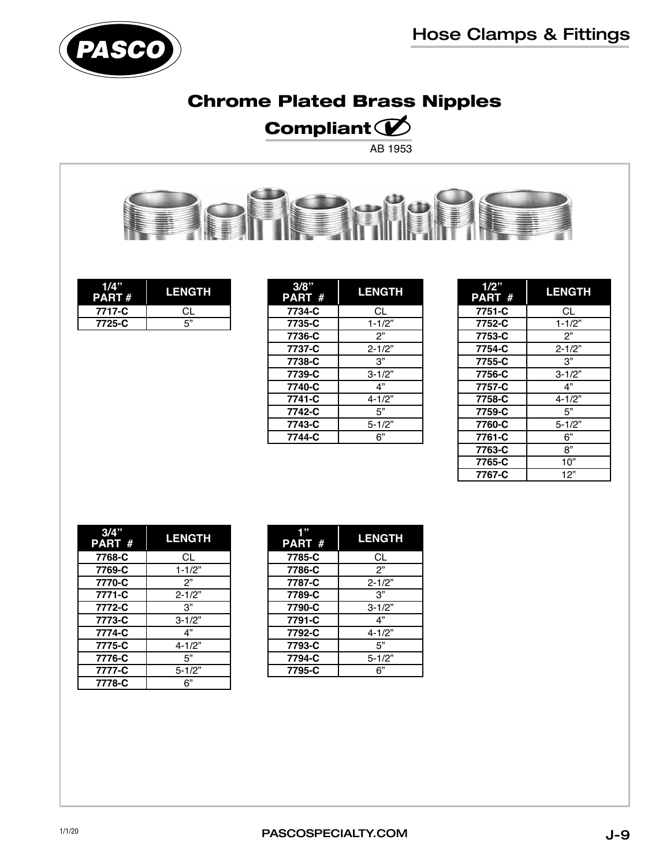

# Chrome Plated Brass Nipples

# Compliant  $\mathscr{\mathscr{D}}$

AB 1953



| $\mathbf{A}^n$<br>PART # | <b>LENGTH</b> |  |
|--------------------------|---------------|--|
| 7717-C                   | СI            |  |
| 7725-C                   | г"            |  |

| 3/8"<br>PART # | <b>LENGTH</b> |  |  |
|----------------|---------------|--|--|
| 7734-C         | СL            |  |  |
| 7735-C         | $1 - 1/2"$    |  |  |
| 7736-C         | 2"            |  |  |
| 7737-C         | $2 - 1/2"$    |  |  |
| 7738-C         | 3"            |  |  |
| 7739-C         | $3 - 1/2"$    |  |  |
| 7740-C         | 4"            |  |  |
| 7741-C         | $4 - 1/2"$    |  |  |
| 7742-C         | 5"            |  |  |
| 7743-C         | $5 - 1/2"$    |  |  |
| 7744-C         | 6"            |  |  |

| 1/2"<br>PART # | <b>LENGTH</b> |  |  |
|----------------|---------------|--|--|
| 7751-C         | СL            |  |  |
| 7752-C         | $1 - 1/2"$    |  |  |
| 7753-C         | ?"            |  |  |
| 7754-C         | $2 - 1/2"$    |  |  |
| 7755-C         | 3"            |  |  |
| 7756-C         | $3 - 1/2"$    |  |  |
| 7757-C         | 4"            |  |  |
| 7758-C         | 4-1/2"        |  |  |
| 7759-C         | 5"            |  |  |
| 7760-C         | $5 - 1/2"$    |  |  |
| 7761-C         | 6"            |  |  |
| 7763-C         | 8"            |  |  |
| 7765-C         | 10"           |  |  |
| 7767-C         | 12"           |  |  |

| 3/4"<br><b>PART #</b> | <b>LENGTH</b> |  |  |  |
|-----------------------|---------------|--|--|--|
| 7768-C                | СL            |  |  |  |
| 7769-C                | $1 - 1/2"$    |  |  |  |
| 7770-C                | 2"            |  |  |  |
| 7771-C                | $2 - 1/2"$    |  |  |  |
| 7772-C                | 3"            |  |  |  |
| 7773-C                | $3 - 1/2"$    |  |  |  |
| 7774-C                | 4"            |  |  |  |
| 7775-C                | $4 - 1/2"$    |  |  |  |
| 7776-C                | 5"            |  |  |  |
| 7777-C                | $5 - 1/2"$    |  |  |  |
| 7778-C                | 6"            |  |  |  |

| 1"<br>PART # | <b>LENGTH</b> |  |
|--------------|---------------|--|
| 7785-C       | СL            |  |
| 7786-C       | 2"            |  |
| 7787-C       | $2 - 1/2"$    |  |
| 7789-C       | 3"            |  |
| 7790-C       | $3 - 1/2"$    |  |
| 7791-C       | 4"            |  |
| 7792-C       | $4 - 1/2"$    |  |
| 7793-C       | 5"            |  |
| 7794-C       | $5 - 1/2"$    |  |
| 7795-C       | 6"            |  |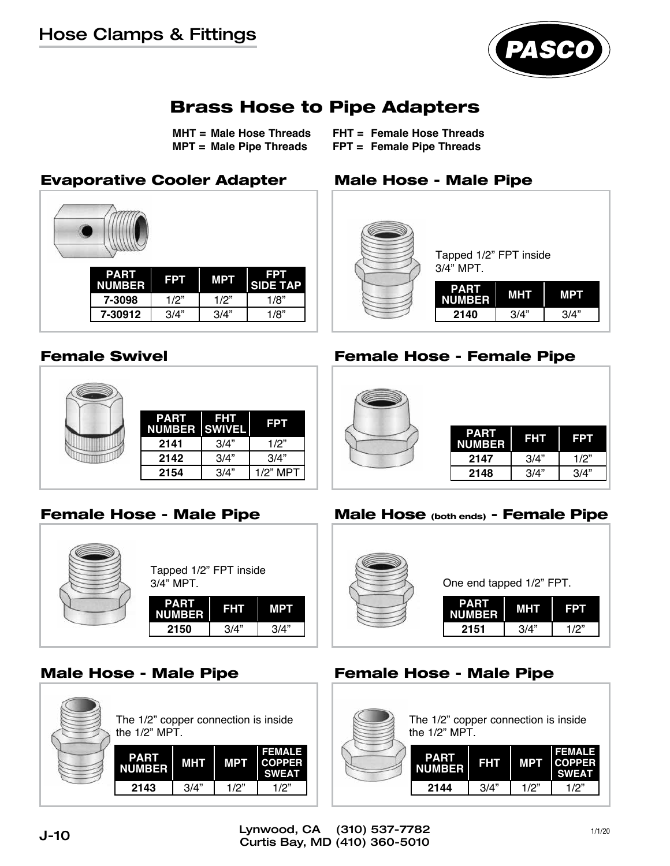## Hose Clamps & Fittings



## Brass Hose to Pipe Adapters

**MHT = Male Hose Threads MPT = Male Pipe Threads**

**FHT = Female Hose Threads FPT = Female Pipe Threads**

## Evaporative Cooler Adapter Male Hose - Male Pipe

| <b>PART</b><br><b>NUMBER</b> | <b>FPT</b> | <b>MPT</b> | <b>FPT</b><br><b>SIDE TAP</b> |
|------------------------------|------------|------------|-------------------------------|
| 7-3098                       | 1/2"       | 1/2"       | 1/8"                          |
| 7-30912                      | 3/4"       | 3/4"       | 1/8"                          |

| <b>PART</b><br><b>NUMBER SWIVEL</b> | <b>FHT</b> | <b>FPT</b> |
|-------------------------------------|------------|------------|
| 2141                                | 3/4"       | 1/2"       |
| 2142                                | 3/4"       | 3/4"       |
| 2154                                | 3/4"       | 1/2" MPT   |







## Female Swivel **Female Hose - Female Pipe**



#### Female Hose - Male Pipe Male Hose (both ends) - Female Pipe



#### Male Hose - Male Pipe Female Hose - Male Pipe

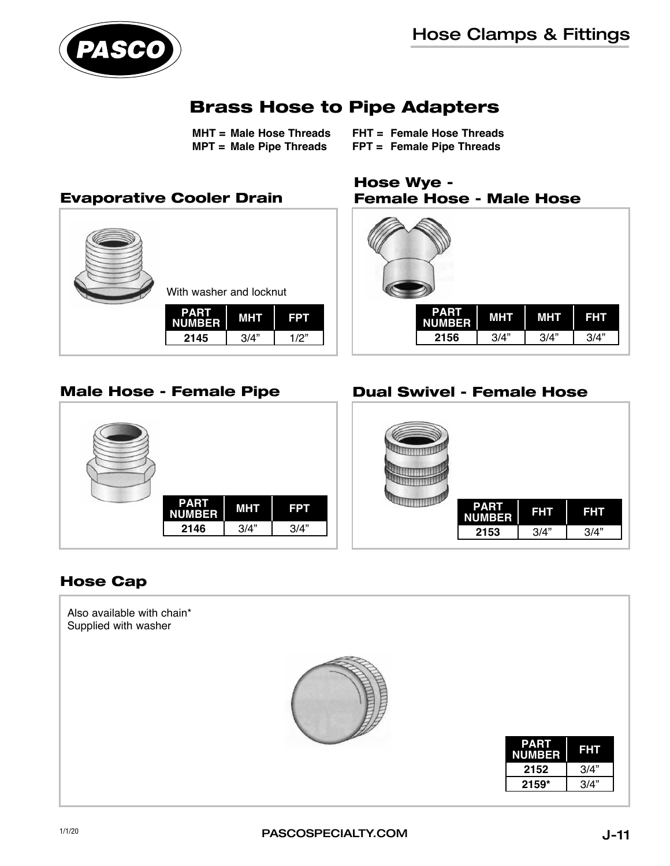

## Brass Hose to Pipe Adapters

**MHT = Male Hose Threads MPT = Male Pipe Threads**

**FHT = Female Hose Threads FPT = Female Pipe Threads**



# Male Hose - Female Pipe

Hose Wye -



## Dual Swivel - Female Hose



### Hose Cap

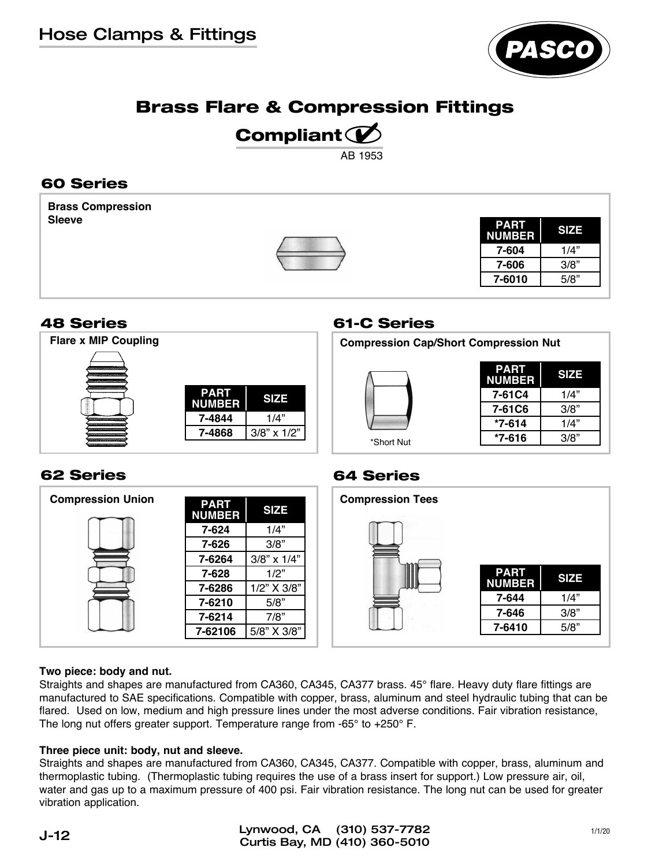

## Brass Flare & Compression Fittings

# Compliant  $\mathcal D$

AB 1953

## 60 Series

**Brass Compression Sleeve**



| <b>PART</b><br>NUMBER | <b>SIZE</b> |
|-----------------------|-------------|
| 7-604                 | 1/4"        |
| 7-606                 | 3/8"        |
| 7-6010                | 5/8"        |

## 48 Series

| <b>Flare x MIP Coupling</b>                                                                                    |                              |                   |
|----------------------------------------------------------------------------------------------------------------|------------------------------|-------------------|
|                                                                                                                |                              |                   |
| inistituskanimeeringuussa                                                                                      |                              |                   |
| minus comme es appoint ou lessicites pay<br>u<br>ł                                                             | <b>PART</b><br><b>NUMBER</b> | <b>SIZE</b>       |
| <b>CONTRACTOR</b> IN A 11 O.D. AND IN CONTRACTOR<br><b>COPPOSASIONAROOLISOOPRAAKLIILLISOOPAALI</b><br>,,,,,,,, | 7-4844                       | 1/4"              |
| <b>CONTRACTOR</b> CONTRACTOR<br>CONTROLS PROTECTIVE ENRICOTED CONTROLS                                         | 7-4868                       | $3/8$ " x $1/2$ " |
| content documentation and several a trans-                                                                     |                              |                   |

#### 61-C Series

**Compression Cap/Short Compression Nut**



| <b>PART</b><br><b>NUMBER</b> | <b>SIZE</b> |
|------------------------------|-------------|
| 7-61C4                       | 1/4"        |
| 7-61C6                       | 3/8"        |
| *7-614                       | 1/4"        |
| *7-616                       | 3/8"        |

## 62 Series

| <b>Compression Union</b> | <b>PART</b><br><b>NUMBER</b> | <b>SIZE</b>       | <b>Compression Tees</b> |
|--------------------------|------------------------------|-------------------|-------------------------|
|                          | 7-624                        | 1/4"              |                         |
|                          | 7-626                        | 3/8"              |                         |
|                          | 7-6264                       | $3/8$ " x $1/4$ " |                         |
|                          | 7-628                        | 1/2"              |                         |
|                          | 7-6286                       | 1/2" X 3/8"       |                         |
|                          | 7-6210                       | 5/8"              |                         |
|                          | 7-6214                       | 7/8"              |                         |
|                          | 7-62106                      | 5/8" X 3/8"       |                         |

#### 64 Series



#### **Two piece: body and nut.**

Straights and shapes are manufactured from CA360, CA345, CA377 brass. 45° flare. Heavy duty flare fittings are manufactured to SAE specifications. Compatible with copper, brass, aluminum and steel hydraulic tubing that can be flared. Used on low, medium and high pressure lines under the most adverse conditions. Fair vibration resistance, The long nut offers greater support. Temperature range from -65° to +250° F.

#### **Three piece unit: body, nut and sleeve.**

Straights and shapes are manufactured from CA360, CA345, CA377. Compatible with copper, brass, aluminum and thermoplastic tubing. (Thermoplastic tubing requires the use of a brass insert for support.) Low pressure air, oil, water and gas up to a maximum pressure of 400 psi. Fair vibration resistance. The long nut can be used for greater vibration application.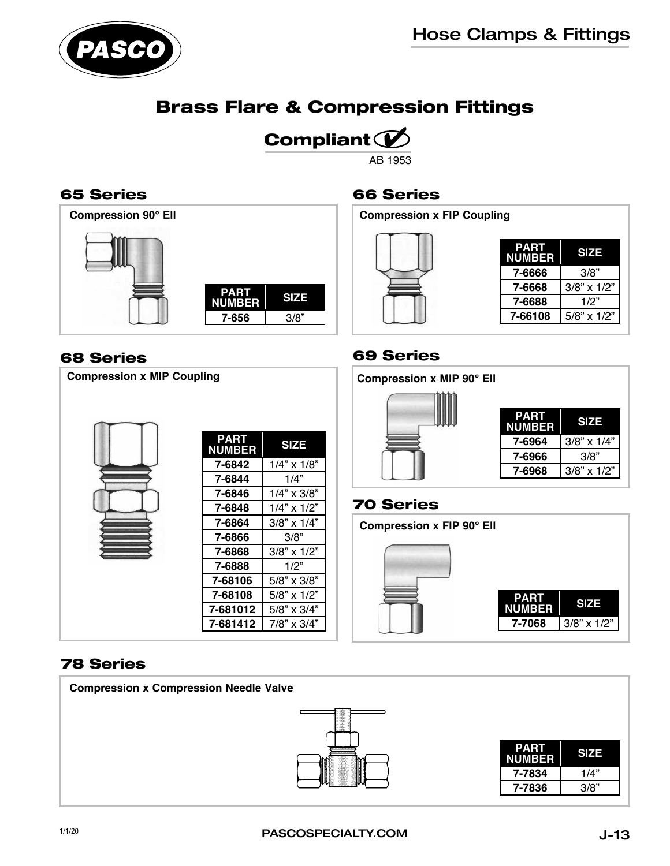

## Brass Flare & Compression Fittings

# Compliant  $\mathcal D$

AB 1953

## 65 Series



#### 68 Series

## **PART NUMBER SIZE 7-6842** 1/4" x 1/8"<br>**7-6844** 1/4" **7-6844** 1/4" **7-6846** 1/4" x 3/8" **7-6848** 1/4" x 1/2" **7-6864** 3/8" x 1/4" **7-6866** 3/8" **7-6868** 3/8" x 1/2" **7-6888** 1/2" **7-68106** 5/8" x 3/8" **7-68108** 5/8" x 1/2" **7-681012** 5/8" x 3/4" **7-681412** 7/8" x 3/4" **Compression x MIP Coupling**

## 66 Series

**Compression x FIP Coupling**



| PART<br><b>NUMBER</b> | <b>SIZE</b>       |
|-----------------------|-------------------|
| 7-6666                | 3/8"              |
| 7-6668                | $3/8$ " x $1/2$ " |
| 7-6688                | 1/2"              |
| 7-66108               | $5/8$ " x $1/2$ " |

## 69 Series



### 70 Series

**PART NUMBER SIZE 7-7068** 3/8" x 1/2" **Compression x FIP 90° Ell**

### 78 Series

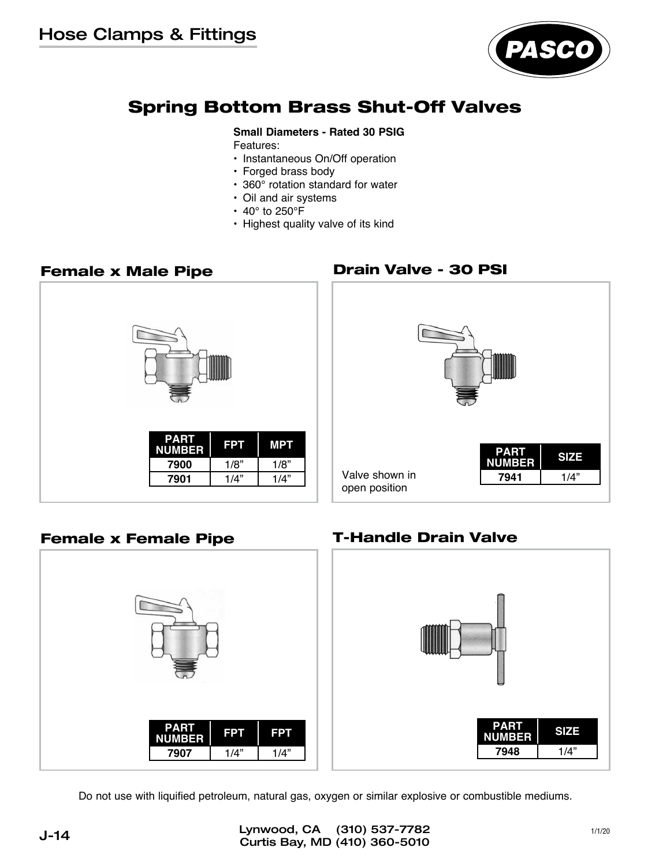

## Spring Bottom Brass Shut-Off Valves

#### **Small Diameters - Rated 30 PSIG**

- Features:
- Instantaneous On/Off operation
- Forged brass body
- 360° rotation standard for water
- Oil and air systems
- $\cdot$  40 $^{\circ}$  to 250 $^{\circ}$ F
- Highest quality valve of its kind

#### Female x Male Pipe



## Drain Valve - 30 PSI



## Female x Female Pipe T-Handle Drain Valve



Do not use with liquified petroleum, natural gas, oxygen or similar explosive or combustible mediums.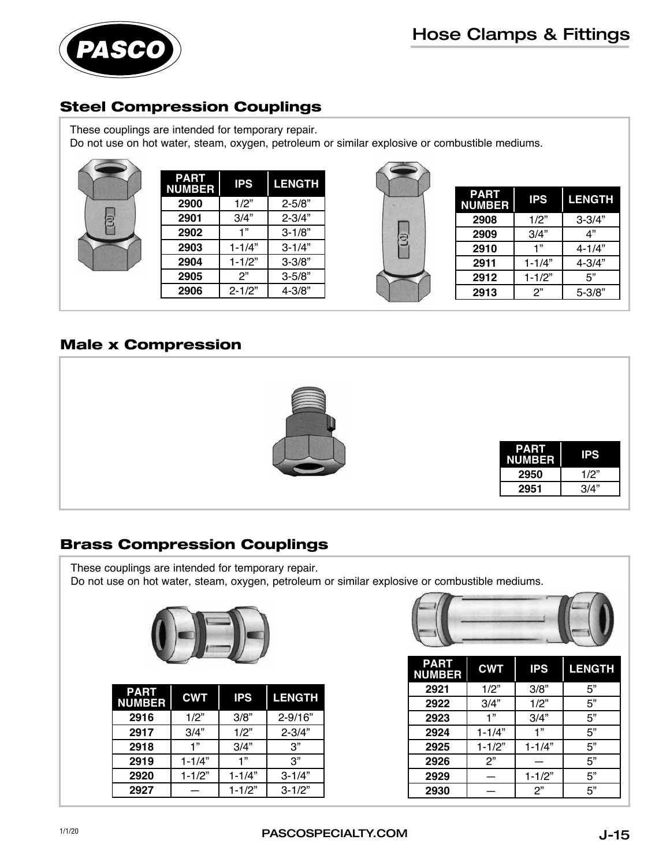

## Steel Compression Couplings

These couplings are intended for temporary repair.

Do not use on hot water, steam, oxygen, petroleum or similar explosive or combustible mediums.

| <b>PART</b><br><b>NUMBER</b> | <b>IPS</b> | <b>LENGTH</b> |
|------------------------------|------------|---------------|
| 2900                         | 1/2"       | $2 - 5/8"$    |
| 2901                         | 3/4"       | $2 - 3/4"$    |
| 2902                         | 1"         | $3 - 1/8"$    |
| 2903                         | $1 - 1/4"$ | $3 - 1/4"$    |
| 2904                         | $1 - 1/2"$ | $3 - 3/8"$    |
| 2905                         | 2"         | $3 - 5/8"$    |
| 2906                         | $2 - 1/2"$ | 4-3/8"        |



| <b>PART</b><br><b>NUMBER</b> | <b>IPS</b> | <b>LENGTH</b> |
|------------------------------|------------|---------------|
| 2908                         | 1/2"       | $3 - 3/4"$    |
| 2909                         | 3/4"       | 4"            |
| 2910                         | 1"         | $4 - 1/4"$    |
| 2911                         | $1 - 1/4"$ | $4 - 3/4"$    |
| 2912                         | $1 - 1/2"$ | 5"            |
| 2913                         | 2"         | 5-3/8"        |
|                              |            |               |

## Male x Compression



## Brass Compression Couplings

These couplings are intended for temporary repair. Do not use on hot water, steam, oxygen, petroleum or similar explosive or combustible mediums.



| <b>PART</b><br><b>NUMBER</b> | <b>CWT</b> | <b>IPS</b> | <b>LENGTH</b> |
|------------------------------|------------|------------|---------------|
| 2916                         | 1/2"       | 3/8"       | $2 - 9/16"$   |
| 2917                         | 3/4"       | 1/2"       | $2 - 3/4"$    |
| 2918                         | 1"         | 3/4"       | 3"            |
| 2919                         | $1 - 1/4"$ | 1"         | 3"            |
| 2920                         | $1 - 1/2"$ | $1 - 1/4"$ | $3 - 1/4"$    |
| 2927                         |            | $1 - 1/2"$ | $3 - 1/2"$    |



| <b>PART</b><br><b>NUMBER</b> | <b>CWT</b> | <b>IPS</b> | <b>LENGTH</b> |
|------------------------------|------------|------------|---------------|
| 2921                         | 1/2"       | 3/8"       | 5"            |
| 2922                         | 3/4"       | 1/2"       | 5"            |
| 2923                         | 1"         | 3/4"       | 5"            |
| 2924                         | $1 - 1/4"$ | 1"         | 5"            |
| 2925                         | $1 - 1/2"$ | $1 - 1/4"$ | 5"            |
| 2926                         | 2"         |            | 5"            |
| 2929                         |            | $1 - 1/2"$ | 5"            |
| 2930                         |            | 2"         | 5"            |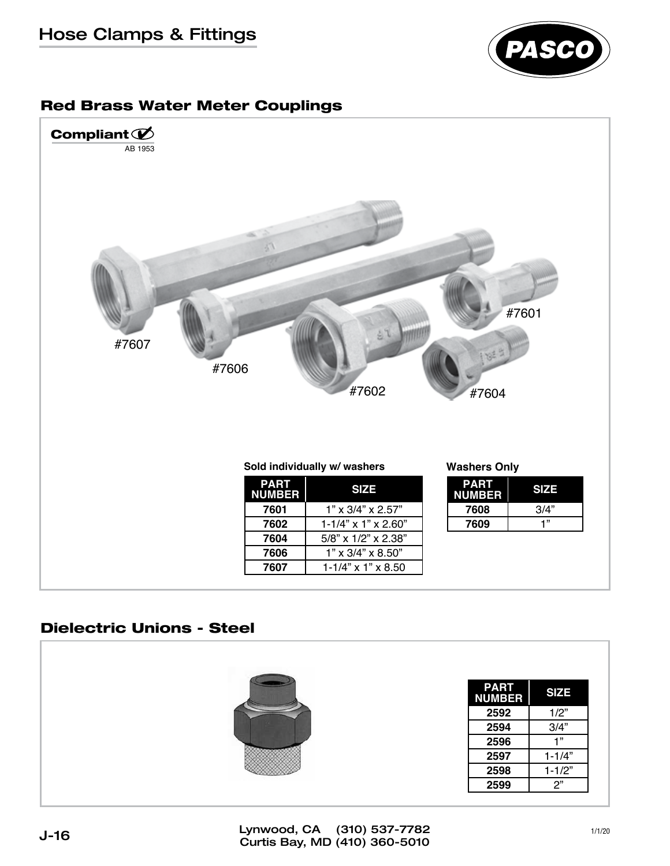## Hose Clamps & Fittings



#### Red Brass Water Meter Couplings



### Dielectric Unions - Steel